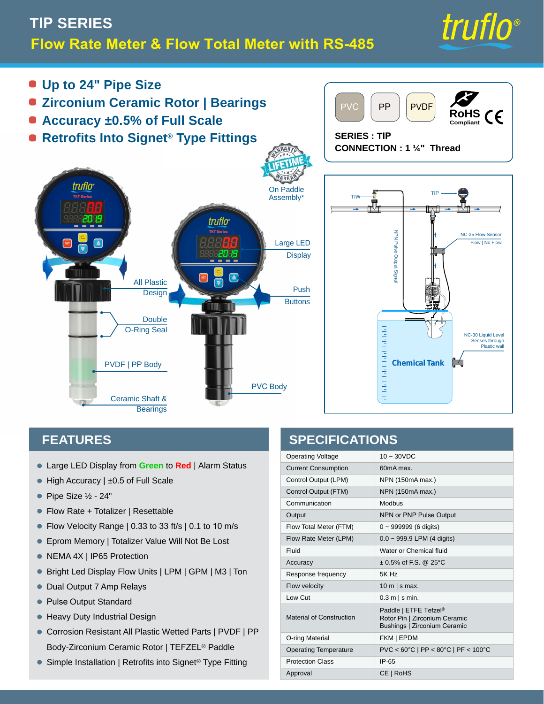# **TIP SERIES Flow Rate Meter & Flow Total Meter with RS-485**



**RoHS Compliant**

- **Up to 24" Pipe Size**
- **Zirconium Ceramic Rotor | Bearings**
- **Accuracy ±0.5% of Full Scale**
- **Retrofits Into Signet® Type Fittings**





PVDF

### **FEATURES**

- Large LED Display from **Green** to **Red** | Alarm Status •
- High Accuracy | ±0.5 of Full Scale
- $\bullet$  Pipe Size ½ 24"
- Flow Rate + Totalizer | Resettable
- Flow Velocity Range | 0.33 to 33 ft/s | 0.1 to 10 m/s •
- Eprom Memory | Totalizer Value Will Not Be Lost •
- NEMA 4X | IP65 Protection
- Bright Led Display Flow Units | LPM | GPM | M3 | Ton
- **Dual Output 7 Amp Relays**
- Pulse Output Standard •
- **Heavy Duty Industrial Design**
- Corrosion Resistant All Plastic Wetted Parts | PVDF | PP Body-Zirconium Ceramic Rotor | TEFZEL® Paddle
- Simple Installation | Retrofits into Signet<sup>®</sup> Type Fitting

### **SPECIFICATIONS**

PVC **PP** 

| <b>Operating Voltage</b>        | $10 \sim 30$ VDC                                                                       |
|---------------------------------|----------------------------------------------------------------------------------------|
| <b>Current Consumption</b>      | 60 <sub>m</sub> A max                                                                  |
| Control Output (LPM)            | NPN (150mA max.)                                                                       |
| Control Output (FTM)            | NPN (150mA max.)                                                                       |
| Communication                   | Modbus                                                                                 |
| Output                          | NPN or PNP Pulse Output                                                                |
| Flow Total Meter (FTM)          | $0 - 999999(6 \text{ digits})$                                                         |
| Flow Rate Meter (LPM)           | $0.0 \sim 999.9$ LPM (4 digits)                                                        |
| Fluid                           | Water or Chemical fluid                                                                |
| Accuracy                        | $\pm$ 0.5% of F.S. @ 25°C                                                              |
| Response frequency              | 5K Hz                                                                                  |
| Flow velocity                   | 10 m $ s$ max.                                                                         |
| Low Cut                         | $0.3$ m $\vert$ s min.                                                                 |
| <b>Material of Construction</b> | Paddle   ETFE Tefzel®<br>Rotor Pin   Zirconium Ceramic<br>Bushings   Zirconium Ceramic |
| O-ring Material                 | FKM   EPDM                                                                             |
| <b>Operating Temperature</b>    | PVC < 60°C   PP < 80°C   PF < 100°C                                                    |
| <b>Protection Class</b>         | $IP-65$                                                                                |
| Approval                        | CE   RoHS                                                                              |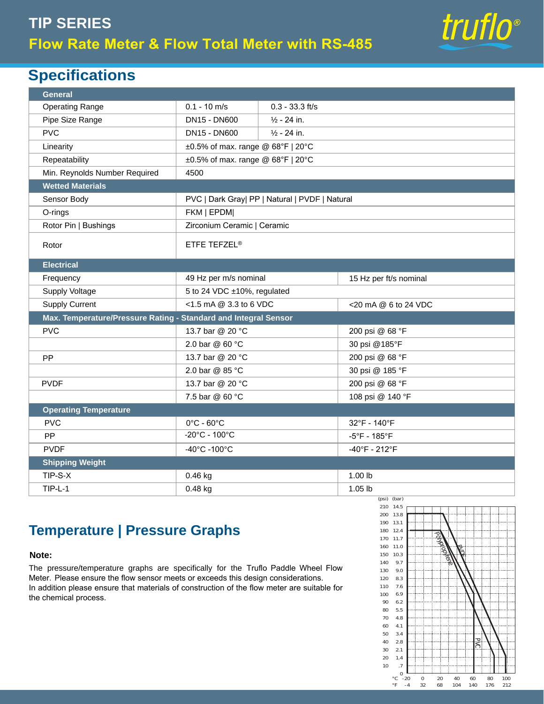# **TIP SERIES Flow Rate Meter & Flow Total Meter with RS-485**



## **Specifications**

| <b>General</b>                                                  |                                                |                        |                                   |  |
|-----------------------------------------------------------------|------------------------------------------------|------------------------|-----------------------------------|--|
| <b>Operating Range</b>                                          | $0.1 - 10$ m/s                                 | $0.3 - 33.3$ ft/s      |                                   |  |
| Pipe Size Range                                                 | DN15 - DN600                                   | $\frac{1}{2}$ - 24 in. |                                   |  |
| <b>PVC</b>                                                      | DN15 - DN600                                   | $\frac{1}{2}$ - 24 in. |                                   |  |
| Linearity                                                       | $\pm 0.5\%$ of max. range @ 68°F   20°C        |                        |                                   |  |
| Repeatability                                                   | $\pm 0.5\%$ of max. range @ 68°F   20°C        |                        |                                   |  |
| Min. Reynolds Number Required                                   | 4500                                           |                        |                                   |  |
| <b>Wetted Materials</b>                                         |                                                |                        |                                   |  |
| Sensor Body                                                     | PVC   Dark Gray  PP   Natural   PVDF   Natural |                        |                                   |  |
| O-rings                                                         | FKM   EPDM                                     |                        |                                   |  |
| Rotor Pin   Bushings                                            | Zirconium Ceramic   Ceramic                    |                        |                                   |  |
| Rotor                                                           | ETFE TEFZEL®                                   |                        |                                   |  |
| <b>Electrical</b>                                               |                                                |                        |                                   |  |
| Frequency                                                       | 49 Hz per m/s nominal                          |                        | 15 Hz per ft/s nominal            |  |
| Supply Voltage                                                  | 5 to 24 VDC ±10%, regulated                    |                        |                                   |  |
| <b>Supply Current</b>                                           | $<$ 1.5 mA @ 3.3 to 6 VDC                      |                        | <20 mA @ 6 to 24 VDC              |  |
| Max. Temperature/Pressure Rating - Standard and Integral Sensor |                                                |                        |                                   |  |
| <b>PVC</b>                                                      | 13.7 bar @ 20 °C                               |                        | 200 psi @ 68 °F                   |  |
|                                                                 | 2.0 bar @ 60 °C                                |                        | 30 psi @185°F                     |  |
| <b>PP</b>                                                       | 13.7 bar @ 20 °C                               |                        | 200 psi @ 68 °F                   |  |
|                                                                 | 2.0 bar @ 85 °C                                |                        | 30 psi @ 185 °F                   |  |
| <b>PVDF</b>                                                     | 13.7 bar @ 20 °C                               |                        | 200 psi @ 68 °F                   |  |
|                                                                 | 7.5 bar @ 60 °C                                |                        | 108 psi @ 140 °F                  |  |
| <b>Operating Temperature</b>                                    |                                                |                        |                                   |  |
| <b>PVC</b>                                                      | $0^{\circ}$ C - $60^{\circ}$ C                 |                        | 32°F - 140°F                      |  |
| PP                                                              | $-20^{\circ}$ C - 100 $^{\circ}$ C             |                        | $-5^{\circ}$ F - 185 $^{\circ}$ F |  |
| <b>PVDF</b>                                                     | -40°C -100°C                                   |                        | -40°F - 212°F                     |  |
| <b>Shipping Weight</b>                                          |                                                |                        |                                   |  |
| TIP-S-X                                                         | 0.46 kg                                        |                        | 1.00 lb                           |  |
| $TIP-L-1$                                                       | $0.48$ kg                                      |                        | $1.05$ lb                         |  |

## **Temperature | Pressure Graphs**

#### **Note:**

The pressure/temperature graphs are specifically for the Truflo Paddle Wheel Flow Meter. Please ensure the flow sensor meets or exceeds this design considerations. In addition please ensure that materials of construction of the flow meter are suitable for the chemical process.